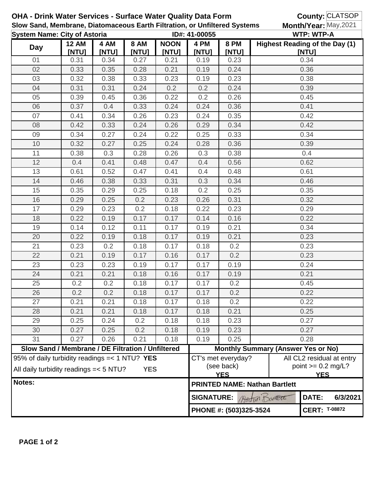| <b>OHA - Drink Water Services - Surface Water Quality Data Form</b><br>Slow Sand, Membrane, Diatomaceous Earth Filtration, or Unfiltered Systems |                                                                                                         |               |                      |                      |                                   |                                                                                                     |                                                    | County: CLATSOP<br>Month/Year: May, 2021 |                      |  |  |
|--------------------------------------------------------------------------------------------------------------------------------------------------|---------------------------------------------------------------------------------------------------------|---------------|----------------------|----------------------|-----------------------------------|-----------------------------------------------------------------------------------------------------|----------------------------------------------------|------------------------------------------|----------------------|--|--|
| <b>System Name: City of Astoria</b>                                                                                                              |                                                                                                         |               |                      | ID#: 41-00055        |                                   |                                                                                                     | <b>WTP: WTP-A</b>                                  |                                          |                      |  |  |
| <b>Day</b>                                                                                                                                       | <b>12 AM</b><br><b>INTUI</b>                                                                            | 4 AM<br>[NTU] | <b>8 AM</b><br>[NTU] | <b>NOON</b><br>[NTU] | 4 PM<br>[NTU]                     | <b>8 PM</b><br>[NTU]                                                                                |                                                    | Highest Reading of the Day (1)<br>[NTU]  |                      |  |  |
| 01                                                                                                                                               | 0.31                                                                                                    | 0.34          | 0.27                 | 0.21                 | 0.19                              | 0.23                                                                                                |                                                    | 0.34                                     |                      |  |  |
| 02                                                                                                                                               | 0.33                                                                                                    | 0.35          | 0.28                 | 0.21                 | 0.19                              | 0.24                                                                                                |                                                    | 0.36                                     |                      |  |  |
| 03                                                                                                                                               | 0.32                                                                                                    | 0.38          | 0.33                 | 0.23                 | 0.19                              | 0.23                                                                                                |                                                    | 0.38                                     |                      |  |  |
| 04                                                                                                                                               | 0.31                                                                                                    | 0.31          | 0.24                 | 0.2                  | 0.2                               | 0.24                                                                                                |                                                    | 0.39                                     |                      |  |  |
| 05                                                                                                                                               | 0.39                                                                                                    | 0.45          | 0.36                 | 0.22                 | 0.2                               | 0.26                                                                                                |                                                    | 0.45                                     |                      |  |  |
| 06                                                                                                                                               | 0.37                                                                                                    | 0.4           | 0.33                 | 0.24                 | 0.24                              | 0.36                                                                                                |                                                    | 0.41                                     |                      |  |  |
| 07                                                                                                                                               | 0.41                                                                                                    | 0.34          | 0.26                 | 0.23                 | 0.24                              | 0.35                                                                                                |                                                    | 0.42                                     |                      |  |  |
| 08                                                                                                                                               | 0.42                                                                                                    | 0.33          | 0.24                 | 0.26                 | 0.29                              | 0.34                                                                                                |                                                    | 0.42                                     |                      |  |  |
| 09                                                                                                                                               | 0.34                                                                                                    | 0.27          | 0.24                 | 0.22                 | 0.25                              | 0.33                                                                                                |                                                    | 0.34                                     |                      |  |  |
| 10                                                                                                                                               | 0.32                                                                                                    | 0.27          | 0.25                 | 0.24                 | 0.28                              | 0.36                                                                                                |                                                    | 0.39                                     |                      |  |  |
| 11                                                                                                                                               | 0.38                                                                                                    | 0.3           | 0.28                 | 0.26                 | 0.3                               | 0.38                                                                                                |                                                    | 0.4                                      |                      |  |  |
| 12                                                                                                                                               | 0.4                                                                                                     | 0.41          | 0.48                 | 0.47                 | 0.4                               | 0.56                                                                                                |                                                    | 0.62                                     |                      |  |  |
| 13                                                                                                                                               | 0.61                                                                                                    | 0.52          | 0.47                 | 0.41                 | 0.4                               | 0.48                                                                                                |                                                    | 0.61                                     |                      |  |  |
| 14                                                                                                                                               | 0.46                                                                                                    | 0.38          | 0.33                 | 0.31                 | 0.3                               | 0.34                                                                                                |                                                    | 0.46                                     |                      |  |  |
| 15                                                                                                                                               | 0.35                                                                                                    | 0.29          | 0.25                 | 0.18                 | 0.2                               | 0.25                                                                                                |                                                    | 0.35                                     |                      |  |  |
| 16                                                                                                                                               | 0.29                                                                                                    | 0.25          | 0.2                  | 0.23                 | 0.26                              | 0.31                                                                                                |                                                    | 0.32                                     |                      |  |  |
| 17                                                                                                                                               | 0.29                                                                                                    | 0.23          | 0.2                  | 0.18                 | 0.22                              | 0.23                                                                                                |                                                    | 0.29                                     |                      |  |  |
| 18                                                                                                                                               | 0.22                                                                                                    | 0.19          | 0.17                 | 0.17                 | 0.14                              | 0.16                                                                                                |                                                    | 0.22                                     |                      |  |  |
| 19                                                                                                                                               | 0.14                                                                                                    | 0.12          | 0.11                 | 0.17                 | 0.19                              | 0.21                                                                                                |                                                    | 0.34                                     |                      |  |  |
| 20                                                                                                                                               | 0.22                                                                                                    | 0.19          | 0.18                 | 0.17                 | 0.19                              | 0.21                                                                                                |                                                    | 0.23                                     |                      |  |  |
| 21                                                                                                                                               | 0.23                                                                                                    | 0.2           | 0.18                 | 0.17                 | 0.18                              | 0.2                                                                                                 | 0.23                                               |                                          |                      |  |  |
| 22                                                                                                                                               | 0.21                                                                                                    | 0.19          | 0.17                 | 0.16                 | 0.17                              | 0.2                                                                                                 | 0.23                                               |                                          |                      |  |  |
| 23                                                                                                                                               | 0.23                                                                                                    | 0.23          | 0.19                 | 0.17                 | 0.17                              | 0.19                                                                                                | 0.24                                               |                                          |                      |  |  |
| 24                                                                                                                                               | 0.21                                                                                                    | 0.21          | 0.18                 | 0.16                 | 0.17                              | 0.19                                                                                                | 0.21                                               |                                          |                      |  |  |
| 25                                                                                                                                               | 0.2                                                                                                     | 0.2           | 0.18                 | 0.17                 | 0.17                              | 0.2                                                                                                 | 0.45                                               |                                          |                      |  |  |
| 26                                                                                                                                               | 0.2                                                                                                     | 0.2           | 0.18                 | 0.17                 | 0.17                              | 0.2                                                                                                 | 0.22                                               |                                          |                      |  |  |
| 27                                                                                                                                               | 0.21                                                                                                    | 0.21          | 0.18                 | 0.17                 | 0.18                              | 0.2                                                                                                 |                                                    | 0.22                                     |                      |  |  |
| 28                                                                                                                                               | 0.21                                                                                                    | 0.21          | 0.18                 | 0.17                 | 0.18                              | 0.21                                                                                                |                                                    | 0.25                                     |                      |  |  |
| 29                                                                                                                                               | 0.25                                                                                                    | 0.24          | 0.2                  | 0.18                 | 0.18                              | 0.23                                                                                                |                                                    | 0.27                                     |                      |  |  |
| 30                                                                                                                                               | 0.27                                                                                                    | 0.25          | 0.2                  | 0.18                 | 0.19                              | 0.23                                                                                                |                                                    | 0.27                                     |                      |  |  |
| 31                                                                                                                                               | 0.27                                                                                                    | 0.26          | 0.21                 | 0.18                 | 0.19                              | 0.25                                                                                                |                                                    | 0.28                                     |                      |  |  |
|                                                                                                                                                  | Slow Sand / Membrane / DE Filtration / Unfiltered                                                       |               |                      |                      |                                   |                                                                                                     | <b>Monthly Summary (Answer Yes or No)</b>          |                                          |                      |  |  |
|                                                                                                                                                  | 95% of daily turbidity readings = < 1 NTU? YES<br>All daily turbidity readings = < 5 NTU?<br><b>YES</b> |               |                      |                      |                                   | All CL2 residual at entry<br>CT's met everyday?<br>(see back)<br>point $>= 0.2$ mg/L?<br><b>YES</b> |                                                    |                                          |                      |  |  |
| Notes:                                                                                                                                           |                                                                                                         |               |                      |                      |                                   |                                                                                                     | <b>YES</b><br><b>PRINTED NAME: Nathan Bartlett</b> |                                          |                      |  |  |
|                                                                                                                                                  |                                                                                                         |               |                      |                      | <b>SIGNATURE:</b><br>Artin Domett |                                                                                                     |                                                    | DATE:                                    | 6/3/2021             |  |  |
|                                                                                                                                                  |                                                                                                         |               |                      |                      |                                   | PHONE #: (503)325-3524                                                                              |                                                    |                                          | <b>CERT: T-08872</b> |  |  |